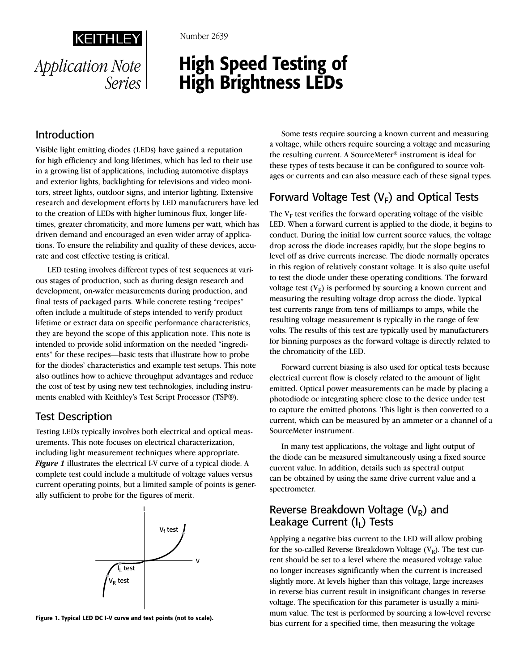*Series*

Number 2639

# High Speed Testing of High Brightness LEDs *Application Note*

# Introduction

Visible light emitting diodes (LEDs) have gained a reputation for high efficiency and long lifetimes, which has led to their use in a growing list of applications, including automotive displays and exterior lights, backlighting for televisions and video monitors, street lights, outdoor signs, and interior lighting. Extensive research and development efforts by LED manufacturers have led to the creation of LEDs with higher luminous flux, longer lifetimes, greater chromaticity, and more lumens per watt, which has driven demand and encouraged an even wider array of applications. To ensure the reliability and quality of these devices, accurate and cost effective testing is critical.

LED testing involves different types of test sequences at various stages of production, such as during design research and development, on-wafer measurements during production, and final tests of packaged parts. While concrete testing "recipes" often include a multitude of steps intended to verify product lifetime or extract data on specific performance characteristics, they are beyond the scope of this application note. This note is intended to provide solid information on the needed "ingredients" for these recipes—basic tests that illustrate how to probe for the diodes' characteristics and example test setups. This note also outlines how to achieve throughput advantages and reduce the cost of test by using new test technologies, including instruments enabled with Keithley's Test Script Processor (TSP®).

# Test Description

Testing LEDs typically involves both electrical and optical measurements. This note focuses on electrical characterization, including light measurement techniques where appropriate. *Figure 1* illustrates the electrical I-V curve of a typical diode. A complete test could include a multitude of voltage values versus current operating points, but a limited sample of points is generally sufficient to probe for the figures of merit.



Figure 1. Typical LED DC I-V curve and test points (not to scale).

Some tests require sourcing a known current and measuring a voltage, while others require sourcing a voltage and measuring the resulting current. A SourceMeter® instrument is ideal for these types of tests because it can be configured to source voltages or currents and can also measure each of these signal types.

# Forward Voltage Test  $(V_F)$  and Optical Tests

The  $V_F$  test verifies the forward operating voltage of the visible LED. When a forward current is applied to the diode, it begins to conduct. During the initial low current source values, the voltage drop across the diode increases rapidly, but the slope begins to level off as drive currents increase. The diode normally operates in this region of relatively constant voltage. It is also quite useful to test the diode under these operating conditions. The forward voltage test  $(V_F)$  is performed by sourcing a known current and measuring the resulting voltage drop across the diode. Typical test currents range from tens of milliamps to amps, while the resulting voltage measurement is typically in the range of few volts. The results of this test are typically used by manufacturers for binning purposes as the forward voltage is directly related to the chromaticity of the LED.

Forward current biasing is also used for optical tests because electrical current flow is closely related to the amount of light emitted. Optical power measurements can be made by placing a photodiode or integrating sphere close to the device under test to capture the emitted photons. This light is then converted to a current, which can be measured by an ammeter or a channel of a SourceMeter instrument.

In many test applications, the voltage and light output of the diode can be measured simultaneously using a fixed source current value. In addition, details such as spectral output can be obtained by using the same drive current value and a spectrometer.

# Reverse Breakdown Voltage  $(V_R)$  and Leakage Current  $(I<sub>1</sub>)$  Tests

Applying a negative bias current to the LED will allow probing for the so-called Reverse Breakdown Voltage  $(V_R)$ . The test current should be set to a level where the measured voltage value no longer increases significantly when the current is increased slightly more. At levels higher than this voltage, large increases in reverse bias current result in insignificant changes in reverse voltage. The specification for this parameter is usually a minimum value. The test is performed by sourcing a low-level reverse bias current for a specified time, then measuring the voltage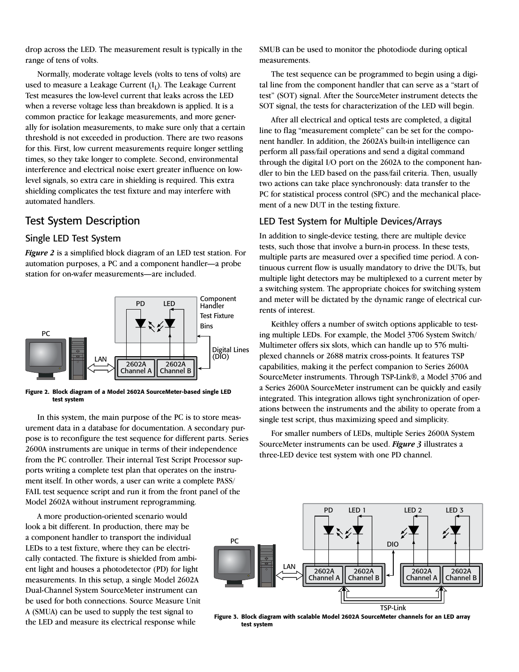drop across the LED. The measurement result is typically in the range of tens of volts.

Normally, moderate voltage levels (volts to tens of volts) are used to measure a Leakage Current  $(I<sub>I</sub>)$ . The Leakage Current Test measures the low-level current that leaks across the LED when a reverse voltage less than breakdown is applied. It is a common practice for leakage measurements, and more generally for isolation measurements, to make sure only that a certain threshold is not exceeded in production. There are two reasons for this. First, low current measurements require longer settling times, so they take longer to complete. Second, environmental interference and electrical noise exert greater influence on lowlevel signals, so extra care in shielding is required. This extra shielding complicates the test fixture and may interfere with automated handlers.

# Test System Description

### Single LED Test System

*Figure 2* is a simplified block diagram of an LED test station. For automation purposes, a PC and a component handler—a probe station for on-wafer measurements—are included.



Figure 2. Block diagram of a Model 2602A SourceMeter-based single LED test system

In this system, the main purpose of the PC is to store measurement data in a database for documentation. A secondary purpose is to reconfigure the test sequence for different parts. Series 2600A instruments are unique in terms of their independence from the PC controller. Their internal Test Script Processor supports writing a complete test plan that operates on the instrument itself. In other words, a user can write a complete PASS/ FAIL test sequence script and run it from the front panel of the Model 2602A without instrument reprogramming.

A more production-oriented scenario would look a bit different. In production, there may be a component handler to transport the individual LEDs to a test fixture, where they can be electrically contacted. The fixture is shielded from ambient light and houses a photodetector (PD) for light measurements. In this setup, a single Model 2602A Dual-Channel System SourceMeter instrument can be used for both connections. Source Measure Unit A (SMUA) can be used to supply the test signal to the LED and measure its electrical response while

SMUB can be used to monitor the photodiode during optical measurements.

The test sequence can be programmed to begin using a digital line from the component handler that can serve as a "start of test" (SOT) signal. After the SourceMeter instrument detects the SOT signal, the tests for characterization of the LED will begin.

After all electrical and optical tests are completed, a digital line to flag "measurement complete" can be set for the component handler. In addition, the 2602A's built-in intelligence can perform all pass/fail operations and send a digital command through the digital I/O port on the 2602A to the component handler to bin the LED based on the pass/fail criteria. Then, usually two actions can take place synchronously: data transfer to the PC for statistical process control (SPC) and the mechanical placement of a new DUT in the testing fixture.

### LED Test System for Multiple Devices/Arrays

In addition to single-device testing, there are multiple device tests, such those that involve a burn-in process. In these tests, multiple parts are measured over a specified time period. A continuous current flow is usually mandatory to drive the DUTs, but multiple light detectors may be multiplexed to a current meter by a switching system. The appropriate choices for switching system and meter will be dictated by the dynamic range of electrical currents of interest.

Keithley offers a number of switch options applicable to testing multiple LEDs. For example, the Model 3706 System Switch/ Multimeter offers six slots, which can handle up to 576 multiplexed channels or 2688 matrix cross-points. It features TSP capabilities, making it the perfect companion to Series 2600A SourceMeter instruments. Through TSP-Link®, a Model 3706 and a Series 2600A SourceMeter instrument can be quickly and easily integrated. This integration allows tight synchronization of operations between the instruments and the ability to operate from a single test script, thus maximizing speed and simplicity.

For smaller numbers of LEDs, multiple Series 2600A System SourceMeter instruments can be used. *Figure 3* illustrates a three-LED device test system with one PD channel.



Figure 3. Block diagram with scalable Model 2602A SourceMeter channels for an LED array test system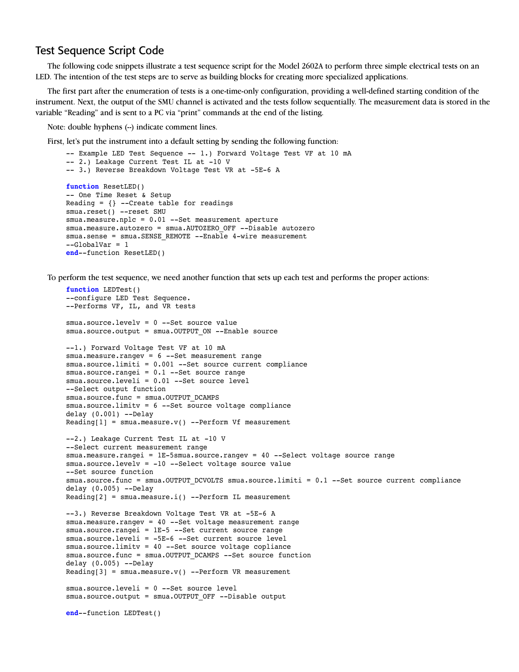## Test Sequence Script Code

The following code snippets illustrate a test sequence script for the Model 2602A to perform three simple electrical tests on an LED. The intention of the test steps are to serve as building blocks for creating more specialized applications.

The first part after the enumeration of tests is a one-time-only configuration, providing a well-defined starting condition of the instrument. Next, the output of the SMU channel is activated and the tests follow sequentially. The measurement data is stored in the variable "Reading" and is sent to a PC via "print" commands at the end of the listing.

Note: double hyphens  $(-)$  indicate comment lines.

First, let's put the instrument into a default setting by sending the following function:

```
-- Example LED Test Sequence -- 1.) Forward Voltage Test VF at 10 mA
-- 2.) Leakage Current Test IL at -10 V
-- 3.) Reverse Breakdown Voltage Test VR at -5E-6 A
function ResetLED()
-- One Time Reset & Setup
Reading = \{ \} --Create table for readings
smua.reset() --reset SMU
smua.measure.nplc = 0.01 --Set measurement aperture
smua.measure.autozero = smua.AUTOZERO_OFF --Disable autozero
smua.sense = smua.SENSE REMOTE --Enable 4-wire measurement
--GlobalVar = 1
end--function ResetLED()
```
To perform the test sequence, we need another function that sets up each test and performs the proper actions:

```
function LEDTest()
--configure LED Test Sequence.
--Performs VF, IL, and VR tests
smua.source.levelv = 0 --Set source value
smua.source.output = smua.OUTPUT ON --Enable source
--1.) Forward Voltage Test VF at 10 mA
smua.measure.rangev = 6 --Set measurement range
smua.source.limiti = 0.001 --Set source current compliance
smua.source.rangei = 0.1 --Set source range
smua.source.leveli = 0.01 --Set source level
--Select output function
smua.source.func = smua.OUTPUT DCAMPS
smua.source.limitv = 6 --Set source voltage compliance
delay (0.001) --Delay
Reading[1] = smua-measure.v() -Perform Vf measurement--2.) Leakage Current Test IL at -10 V
--Select current measurement range
smua.measure.rangei = 1E-5smua.source.rangev = 40 --Select voltage source range
smua.source.levelv = -10 --Select voltage source value
--Set source function
smua.source.func = smua.OUTPUT_DCVOLTS smua.source.limiti = 0.1 --Set source current compliance
delay (0.005) --Delay
Reading[2] = smua-measure.i() --Perform IL measurement--3.) Reverse Breakdown Voltage Test VR at -5E-6 A
smua.measure.rangev = 40 --Set voltage measurement range
smua.source.rangei = 1E-5 --Set current source range
smua.source.leveli = -5E-6 --Set current source level
smua.source.limitv = 40 --Set source voltage copliance
smua.source.func = smua.OUTPUT DCAMPS --Set source function
delay (0.005) --Delay
Reading[3] = smua.mac.v() --Perform VR measurement
smua.source.leveli = 0 --Set source level
smua.source.output = smua.OUTPUT OFF --Disable output
end--function LEDTest()
```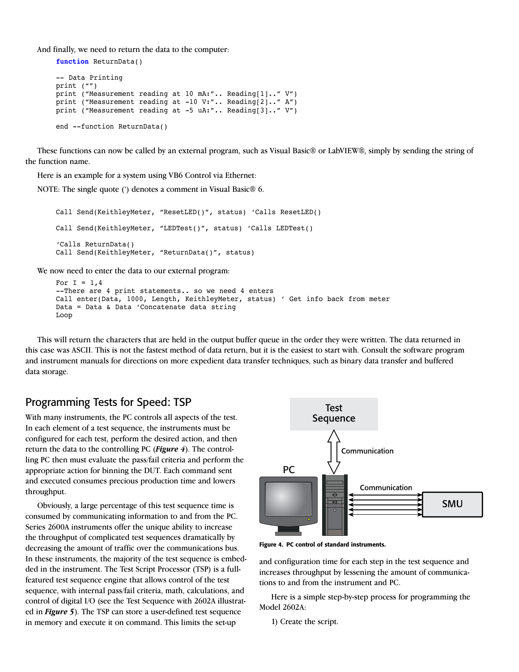And finally, we need to return the data to the computer:

```
function ReturnData()
-- Data Printing
print ("")
print ("Measurement reading at 10 mA:".. Reading[1].." V")
print ("Measurement reading at -10 V:".. Reading[2].." A")
print ("Measurement reading at -5 uA:".. Reading[3].." V")
end --function ReturnData()
```
These functions can now be called by an external program, such as Visual Basic® or LabVIEW®, simply by sending the string of the function name.

Here is an example for a system using VB6 Control via Ethernet:

NOTE: The single quote (') denotes a comment in Visual Basic® 6.

```
Call Send(KeithleyMeter, "ResetLED()", status) 'Calls ResetLED()
Call Send(KeithleyMeter, "LEDTest()", status) 'Calls LEDTest()
'Calls ReturnData()
Call Send(KeithleyMeter, "ReturnData()", status)
```
We now need to enter the data to our external program:

```
For I = 1.4--There are 4 print statements.. so we need 4 enters
Call enter(Data, 1000, Length, KeithleyMeter, status) ' Get info back from meter
Data = Data & Data 'Concatenate data string
Loop
```
This will return the characters that are held in the output buffer queue in the order they were written. The data returned in this case was ASCII. This is not the fastest method of data return, but it is the easiest to start with. Consult the software program and instrument manuals for directions on more expedient data transfer techniques, such as binary data transfer and buffered data storage.

# Programming Tests for Speed: TSP

With many instruments, the PC controls all aspects of the test. In each element of a test sequence, the instruments must be configured for each test, perform the desired action, and then return the data to the controlling PC (*Figure 4*). The controlling PC then must evaluate the pass/fail criteria and perform the appropriate action for binning the DUT. Each command sent and executed consumes precious production time and lowers throughput.

Obviously, a large percentage of this test sequence time is consumed by communicating information to and from the PC. Series 2600A instruments offer the unique ability to increase the throughput of complicated test sequences dramatically by decreasing the amount of traffic over the communications bus. In these instruments, the majority of the test sequence is embedded in the instrument. The Test Script Processor (TSP) is a fullfeatured test sequence engine that allows control of the test sequence, with internal pass/fail criteria, math, calculations, and control of digital I/O (see the Test Sequence with 2602A illustrated in *Figure 5*). The TSP can store a user-defined test sequence in memory and execute it on command. This limits the set-up



Figure 4. PC control of standard instruments.

and configuration time for each step in the test sequence and increases throughput by lessening the amount of communications to and from the instrument and PC.

Here is a simple step-by-step process for programming the Model 2602A:

1) Create the script.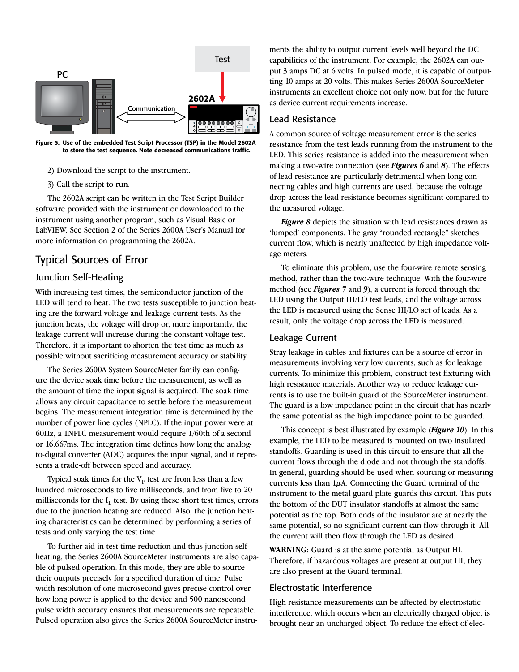

Figure 5. Use of the embedded Test Script Processor (TSP) in the Model 2602A to store the test sequence. Note decreased communications traffic.

- 2) Download the script to the instrument.
- 3) Call the script to run.

The 2602A script can be written in the Test Script Builder software provided with the instrument or downloaded to the instrument using another program, such as Visual Basic or LabVIEW. See Section 2 of the Series 2600A User's Manual for more information on programming the 2602A.

# Typical Sources of Error

### Junction Self-Heating

With increasing test times, the semiconductor junction of the LED will tend to heat. The two tests susceptible to junction heating are the forward voltage and leakage current tests. As the junction heats, the voltage will drop or, more importantly, the leakage current will increase during the constant voltage test. Therefore, it is important to shorten the test time as much as possible without sacrificing measurement accuracy or stability.

The Series 2600A System SourceMeter family can configure the device soak time before the measurement, as well as the amount of time the input signal is acquired. The soak time allows any circuit capacitance to settle before the measurement begins. The measurement integration time is determined by the number of power line cycles (NPLC). If the input power were at 60Hz, a 1NPLC measurement would require 1/60th of a second or 16.667ms. The integration time defines how long the analogto-digital converter (ADC) acquires the input signal, and it represents a trade-off between speed and accuracy.

Typical soak times for the  $V_F$  test are from less than a few hundred microseconds to five milliseconds, and from five to 20 milliseconds for the  $I_L$  test. By using these short test times, errors due to the junction heating are reduced. Also, the junction heating characteristics can be determined by performing a series of tests and only varying the test time.

To further aid in test time reduction and thus junction selfheating, the Series 2600A SourceMeter instruments are also capable of pulsed operation. In this mode, they are able to source their outputs precisely for a specified duration of time. Pulse width resolution of one microsecond gives precise control over how long power is applied to the device and 500 nanosecond pulse width accuracy ensures that measurements are repeatable. Pulsed operation also gives the Series 2600A SourceMeter instruments the ability to output current levels well beyond the DC capabilities of the instrument. For example, the 2602A can output 3 amps DC at 6 volts. In pulsed mode, it is capable of outputting 10 amps at 20 volts. This makes Series 2600A SourceMeter instruments an excellent choice not only now, but for the future as device current requirements increase.

### Lead Resistance

A common source of voltage measurement error is the series resistance from the test leads running from the instrument to the LED. This series resistance is added into the measurement when making a two-wire connection (see *Figures 6* and *8*). The effects of lead resistance are particularly detrimental when long connecting cables and high currents are used, because the voltage drop across the lead resistance becomes significant compared to the measured voltage.

*Figure 8* depicts the situation with lead resistances drawn as 'lumped' components. The gray "rounded rectangle" sketches current flow, which is nearly unaffected by high impedance voltage meters.

To eliminate this problem, use the four-wire remote sensing method, rather than the two-wire technique. With the four-wire method (see *Figures 7* and *9*), a current is forced through the LED using the Output HI/LO test leads, and the voltage across the LED is measured using the Sense HI/LO set of leads. As a result, only the voltage drop across the LED is measured.

### Leakage Current

Stray leakage in cables and fixtures can be a source of error in measurements involving very low currents, such as for leakage currents. To minimize this problem, construct test fixturing with high resistance materials. Another way to reduce leakage currents is to use the built-in guard of the SourceMeter instrument. The guard is a low impedance point in the circuit that has nearly the same potential as the high impedance point to be guarded.

This concept is best illustrated by example (*Figure 10*). In this example, the LED to be measured is mounted on two insulated standoffs. Guarding is used in this circuit to ensure that all the current flows through the diode and not through the standoffs. In general, guarding should be used when sourcing or measuring currents less than  $1\mu$ A. Connecting the Guard terminal of the instrument to the metal guard plate guards this circuit. This puts the bottom of the DUT insulator standoffs at almost the same potential as the top. Both ends of the insulator are at nearly the same potential, so no significant current can flow through it. All the current will then flow through the LED as desired.

**WARNING:** Guard is at the same potential as Output HI. Therefore, if hazardous voltages are present at output HI, they are also present at the Guard terminal.

### Electrostatic Interference

High resistance measurements can be affected by electrostatic interference, which occurs when an electrically charged object is brought near an uncharged object. To reduce the effect of elec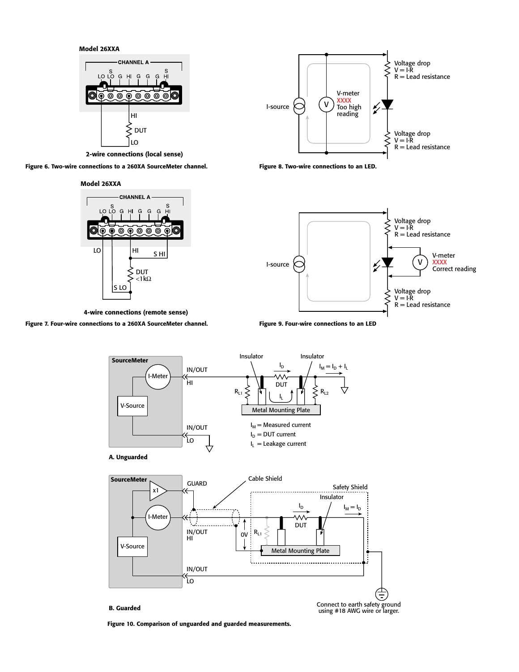Model 26XXA



2-wire connections (local sense)

Figure 6. Two-wire connections to a 260XA SourceMeter channel.

Model 26XXA



4-wire connections (remote sense)

### Figure 7. Four-wire connections to a 260XA SourceMeter channel.







Figure 9. Four-wire connections to an LED





### B. Guarded

Connect to earth safety ground using #18 AWG wire or larger.

Figure 10. Comparison of unguarded and guarded measurements.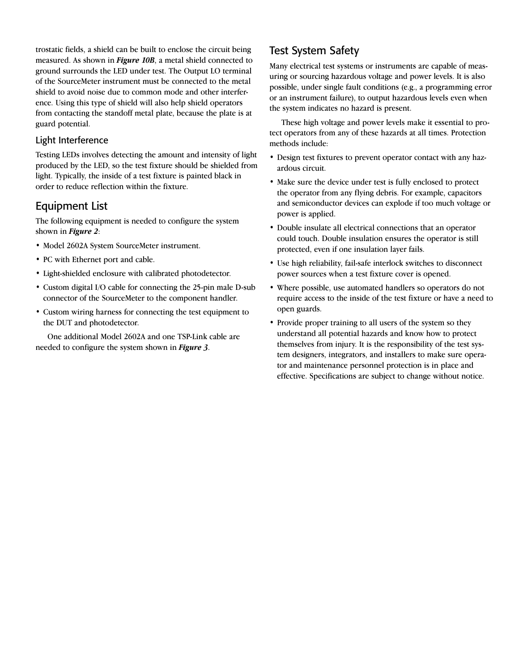trostatic fields, a shield can be built to enclose the circuit being measured. As shown in *Figure 10B*, a metal shield connected to ground surrounds the LED under test. The Output LO terminal of the SourceMeter instrument must be connected to the metal shield to avoid noise due to common mode and other interference. Using this type of shield will also help shield operators from contacting the standoff metal plate, because the plate is at guard potential.

## Light Interference

Testing LEDs involves detecting the amount and intensity of light produced by the LED, so the test fixture should be shielded from light. Typically, the inside of a test fixture is painted black in order to reduce reflection within the fixture.

# Equipment List

The following equipment is needed to configure the system shown in *Figure 2*:

- Model 2602A System SourceMeter instrument.
- PC with Ethernet port and cable.
- Light-shielded enclosure with calibrated photodetector.
- Custom digital I/O cable for connecting the 25-pin male D-sub connector of the SourceMeter to the component handler.
- Custom wiring harness for connecting the test equipment to the DUT and photodetector.

One additional Model 2602A and one TSP-Link cable are needed to configure the system shown in *Figure 3*.

# Test System Safety

Many electrical test systems or instruments are capable of measuring or sourcing hazardous voltage and power levels. It is also possible, under single fault conditions (e.g., a programming error or an instrument failure), to output hazardous levels even when the system indicates no hazard is present.

These high voltage and power levels make it essential to protect operators from any of these hazards at all times. Protection methods include:

- Design test fixtures to prevent operator contact with any hazardous circuit.
- Make sure the device under test is fully enclosed to protect the operator from any flying debris. For example, capacitors and semiconductor devices can explode if too much voltage or power is applied.
- Double insulate all electrical connections that an operator could touch. Double insulation ensures the operator is still protected, even if one insulation layer fails.
- Use high reliability, fail-safe interlock switches to disconnect power sources when a test fixture cover is opened.
- Where possible, use automated handlers so operators do not require access to the inside of the test fixture or have a need to open guards.
- Provide proper training to all users of the system so they understand all potential hazards and know how to protect themselves from injury. It is the responsibility of the test system designers, integrators, and installers to make sure operator and maintenance personnel protection is in place and effective. Specifications are subject to change without notice.